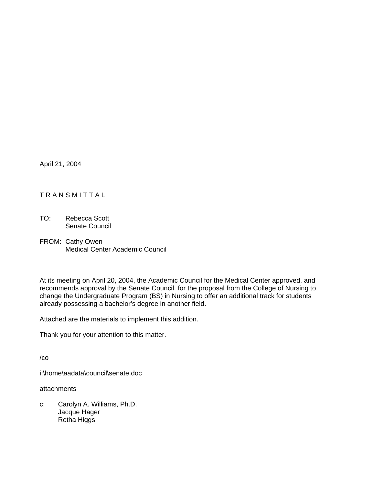April 21, 2004

## TRANSMITTAL

- TO: Rebecca Scott Senate Council
- FROM: Cathy Owen Medical Center Academic Council

At its meeting on April 20, 2004, the Academic Council for the Medical Center approved, and recommends approval by the Senate Council, for the proposal from the College of Nursing to change the Undergraduate Program (BS) in Nursing to offer an additional track for students already possessing a bachelor's degree in another field.

Attached are the materials to implement this addition.

Thank you for your attention to this matter.

/co

i:\home\aadata\council\senate.doc

attachments

c: Carolyn A. Williams, Ph.D. Jacque Hager Retha Higgs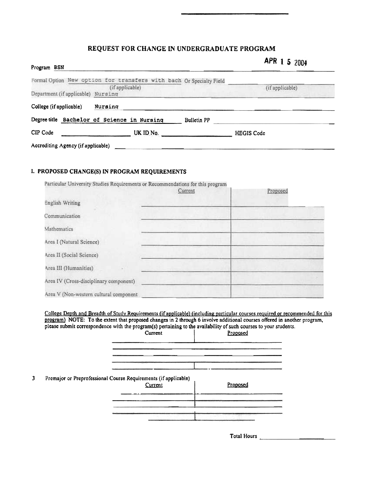## REQUEST FOR CHANGE IN UNDERGRADUATE PROGRAM

| Program BSN                        |                                                                                        |                    | APR 1 5 2004    |
|------------------------------------|----------------------------------------------------------------------------------------|--------------------|-----------------|
| Department (if applicable) Nursing | Formal Option New option for transfers with bach Or Specialty Field<br>(if applicable) |                    | (if applicable) |
| College (if applicable)            | Nursing                                                                                |                    |                 |
|                                    | Degree title Bachelor of Science in Nursing                                            | <b>Bulletin PP</b> |                 |
| CIP Code                           | UK ID No.                                                                              | <b>HEGIS Code</b>  |                 |
| Accrediting Agency (if applicable) |                                                                                        |                    |                 |

## I. PROPOSED CHANGE(S) IN PROGRAM REQUIREMENTS

 $\mathbf{3}$ 

| Particular University Studies Requirements or Recommendations for this program | Current | Proposed |
|--------------------------------------------------------------------------------|---------|----------|
| <b>English Writing</b>                                                         |         |          |
| Communication                                                                  |         |          |
| Mathematics                                                                    |         |          |
| Area I (Natural Science)                                                       |         |          |
| Area II (Social Science)                                                       |         |          |
| Area III (Humanities)                                                          |         |          |
| Area IV (Cross-disciplinary component)                                         |         |          |
| Area V (Non-western cultural component                                         |         |          |

College Depth and Breadth of Study Requirements (if applicable) (including particular courses required or recommended for this program) NOTE: To the extent that proposed changes in 2 through 6 involve additional courses of please submit correspondence with the program(s) pertaining to the availability of such courses to your students.

|                                                                 | Current | Proposed             |
|-----------------------------------------------------------------|---------|----------------------|
|                                                                 |         |                      |
| Premajor or Preprofessional Course Requirements (if applicable) | Current | Proposed             |
|                                                                 |         |                      |
|                                                                 |         | he Mar Angel Maria a |

Total Hours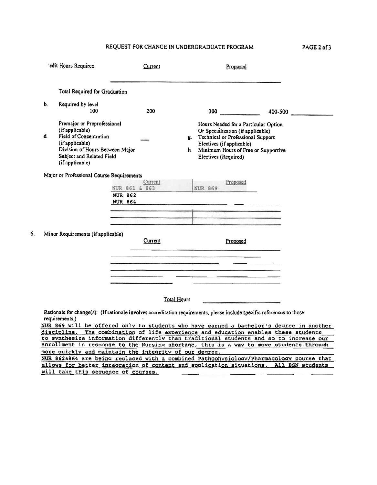## REQUEST FOR CHANGE IN UNDERGRADUATE PROGRAM

| PAGE 2 of 3 |
|-------------|
|-------------|

|    | edit Hours Required                                                                                                                                                                   | Current                                                                                                                                | Proposed                                                                                                                                                                                                            |                                                                                                                                                                                                                                                              |
|----|---------------------------------------------------------------------------------------------------------------------------------------------------------------------------------------|----------------------------------------------------------------------------------------------------------------------------------------|---------------------------------------------------------------------------------------------------------------------------------------------------------------------------------------------------------------------|--------------------------------------------------------------------------------------------------------------------------------------------------------------------------------------------------------------------------------------------------------------|
|    | Total Required for Graduation                                                                                                                                                         |                                                                                                                                        |                                                                                                                                                                                                                     |                                                                                                                                                                                                                                                              |
| Ъ. | Required by level<br>100                                                                                                                                                              | 200                                                                                                                                    |                                                                                                                                                                                                                     | 400-500                                                                                                                                                                                                                                                      |
| d. | Premajor or Preprofessional<br>(if applicable)<br><b>Field of Concentration</b><br>(if applicable)<br>Division of Hours Between Major<br>Subject and Related Field<br>(if applicable) |                                                                                                                                        | Hours Needed for a Particular Option<br>Or Specialization (if applicable)<br>g. Technical or Professional Support<br>Electives (if applicable)<br>Minimum Hours of Free or Supportive<br>h.<br>Electives (Required) |                                                                                                                                                                                                                                                              |
|    | Major or Professional Course Requirements                                                                                                                                             | Current<br>NUR 861 & 863                                                                                                               | <b>Proposed</b><br>NUR 869                                                                                                                                                                                          |                                                                                                                                                                                                                                                              |
|    |                                                                                                                                                                                       | <b>NUR 862</b><br><b>NUR 864</b>                                                                                                       |                                                                                                                                                                                                                     |                                                                                                                                                                                                                                                              |
|    | Minor Requirements (if applicable)                                                                                                                                                    |                                                                                                                                        |                                                                                                                                                                                                                     |                                                                                                                                                                                                                                                              |
|    |                                                                                                                                                                                       | Current                                                                                                                                | Proposed                                                                                                                                                                                                            |                                                                                                                                                                                                                                                              |
|    |                                                                                                                                                                                       |                                                                                                                                        |                                                                                                                                                                                                                     |                                                                                                                                                                                                                                                              |
|    |                                                                                                                                                                                       |                                                                                                                                        |                                                                                                                                                                                                                     |                                                                                                                                                                                                                                                              |
|    | requirements.)                                                                                                                                                                        | Total Hours<br>Rationale for change(s): (If rationale involves accreditation requirements, please include specific references to those |                                                                                                                                                                                                                     |                                                                                                                                                                                                                                                              |
|    | discipline.                                                                                                                                                                           |                                                                                                                                        |                                                                                                                                                                                                                     | NUR 869 will be offered only to students who have earned a bachelor's degree in another<br>The combination of life experience and education enables these students<br>to synthesize information differently than traditional students and so to increase our |
|    |                                                                                                                                                                                       | more quickly and maintain the integrity of our degree.                                                                                 |                                                                                                                                                                                                                     | enrollment in response to the Nursing shortage, this is a way to move students through<br>NUR 862&864 are being replaced with a combined Pathophysiology/Pharmacology course that                                                                            |
|    | will take this sequence of courses.                                                                                                                                                   |                                                                                                                                        |                                                                                                                                                                                                                     | allows for better integration of content and application situations. All BSN students                                                                                                                                                                        |

6.